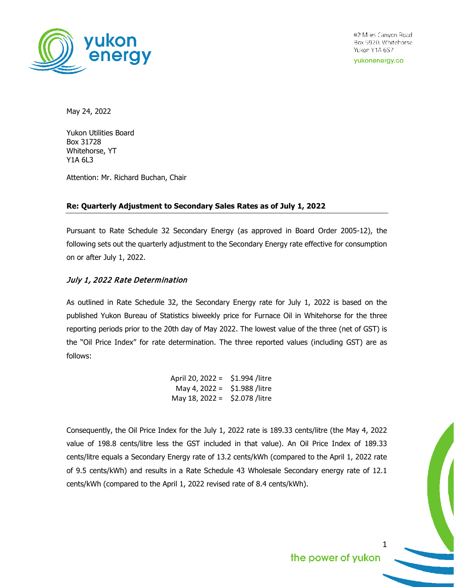

#2 Miles Canyon Road Box 5920, Whitehorse Yukon Y1A 6S7

yukonenergy.ca

May 24, 2022

Yukon Utilities Board Box 31728 Whitehorse, YT Y1A 6L3

Attention: Mr. Richard Buchan, Chair

## **Re: Quarterly Adjustment to Secondary Sales Rates as of July 1, 2022**

Pursuant to Rate Schedule 32 Secondary Energy (as approved in Board Order 2005-12), the following sets out the quarterly adjustment to the Secondary Energy rate effective for consumption on or after July 1, 2022.

## July 1, 2022 Rate Determination

As outlined in Rate Schedule 32, the Secondary Energy rate for July 1, 2022 is based on the published Yukon Bureau of Statistics biweekly price for Furnace Oil in Whitehorse for the three reporting periods prior to the 20th day of May 2022. The lowest value of the three (net of GST) is the "Oil Price Index" for rate determination. The three reported values (including GST) are as follows:

| April 20, 2022 = | \$1.994 /litre |
|------------------|----------------|
| May 4, 2022 =    | \$1.988 /litre |
| May 18, 2022 =   | \$2.078 /litre |

Consequently, the Oil Price Index for the July 1, 2022 rate is 189.33 cents/litre (the May 4, 2022 value of 198.8 cents/litre less the GST included in that value). An Oil Price Index of 189.33 cents/litre equals a Secondary Energy rate of 13.2 cents/kWh (compared to the April 1, 2022 rate of 9.5 cents/kWh) and results in a Rate Schedule 43 Wholesale Secondary energy rate of 12.1 cents/kWh (compared to the April 1, 2022 revised rate of 8.4 cents/kWh).